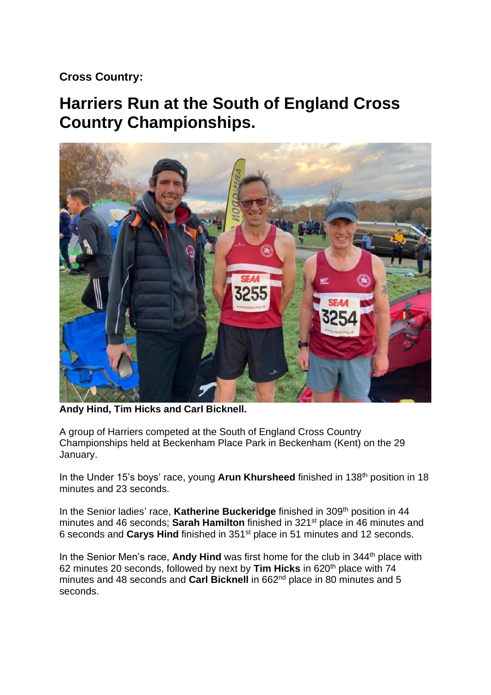## **Cross Country:**

# **Harriers Run at the South of England Cross Country Championships.**



**Andy Hind, Tim Hicks and Carl Bicknell.**

A group of Harriers competed at the South of England Cross Country Championships held at Beckenham Place Park in Beckenham (Kent) on the 29 January.

In the Under 15's boys' race, young Arun Khursheed finished in 138<sup>th</sup> position in 18 minutes and 23 seconds.

In the Senior ladies' race, **Katherine Buckeridge** finished in 309th position in 44 minutes and 46 seconds; **Sarah Hamilton** finished in 321st place in 46 minutes and 6 seconds and **Carys Hind** finished in 351st place in 51 minutes and 12 seconds.

In the Senior Men's race, **Andy Hind** was first home for the club in 344<sup>th</sup> place with 62 minutes 20 seconds, followed by next by **Tim Hicks** in 620th place with 74 minutes and 48 seconds and **Carl Bicknell** in 662nd place in 80 minutes and 5 seconds.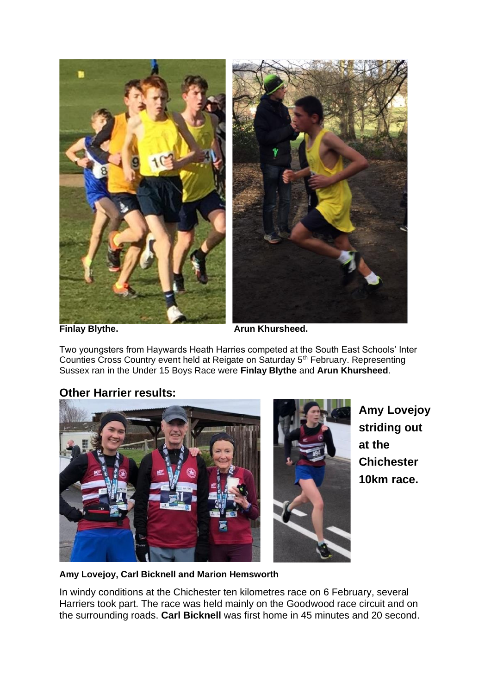

**Finlay Blythe. Arun Khursheed.** 

Two youngsters from Haywards Heath Harries competed at the South East Schools' Inter Counties Cross Country event held at Reigate on Saturday 5<sup>th</sup> February. Representing Sussex ran in the Under 15 Boys Race were **Finlay Blythe** and **Arun Khursheed**.

### **Other Harrier results:**



**Amy Lovejoy striding out at the Chichester 10km race.**

#### **Amy Lovejoy, Carl Bicknell and Marion Hemsworth**

In windy conditions at the Chichester ten kilometres race on 6 February, several Harriers took part. The race was held mainly on the Goodwood race circuit and on the surrounding roads. **Carl Bicknell** was first home in 45 minutes and 20 second.